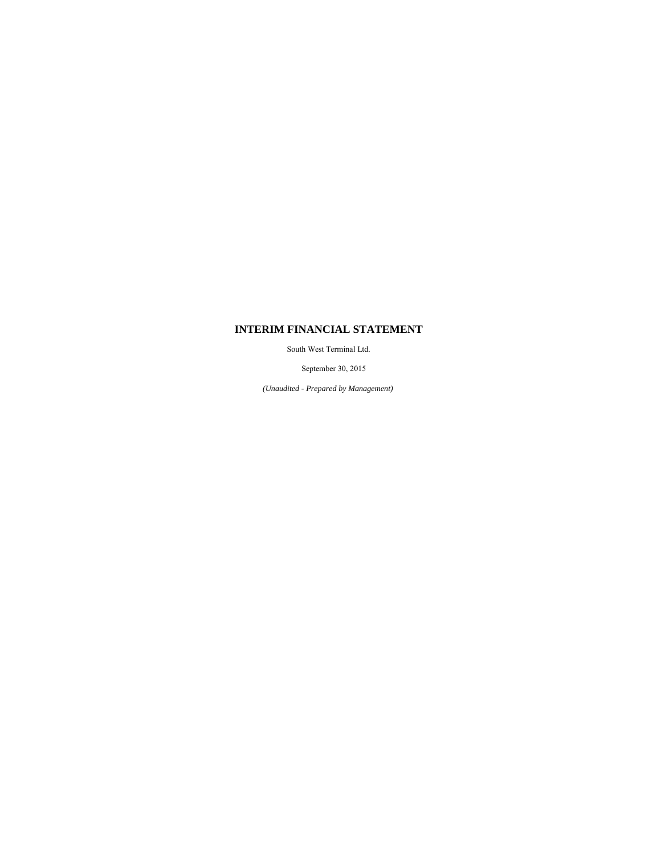## **INTERIM FINANCIAL STATEMENT**

South West Terminal Ltd.

September 30, 2015

*(Unaudited - Prepared by Management)*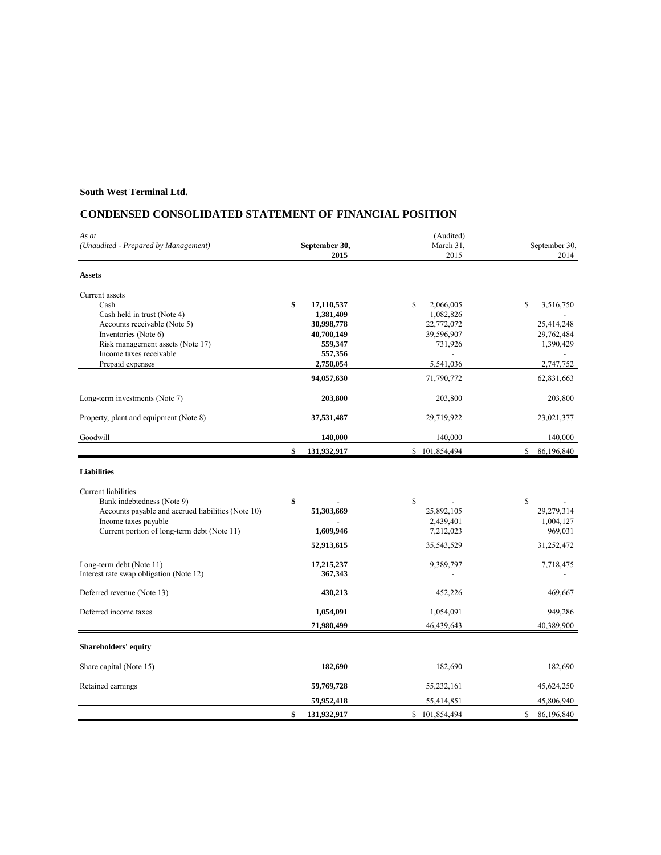## **CONDENSED CONSOLIDATED STATEMENT OF FINANCIAL POSITION**

| As at                                                                                                                         |                       | (Audited)        |                            |
|-------------------------------------------------------------------------------------------------------------------------------|-----------------------|------------------|----------------------------|
| (Unaudited - Prepared by Management)                                                                                          | September 30,         | March 31,        | September 30,              |
|                                                                                                                               | 2015                  | 2015             | 2014                       |
| <b>Assets</b>                                                                                                                 |                       |                  |                            |
| Current assets                                                                                                                |                       |                  |                            |
| Cash                                                                                                                          | \$<br>17,110,537      | S<br>2,066,005   | \$<br>3,516,750            |
| Cash held in trust (Note 4)                                                                                                   | 1,381,409             | 1,082,826        |                            |
| Accounts receivable (Note 5)                                                                                                  | 30,998,778            | 22,772,072       | 25,414,248                 |
| Inventories (Note 6)                                                                                                          | 40,700,149            | 39,596,907       | 29,762,484                 |
| Risk management assets (Note 17)                                                                                              | 559,347               | 731,926          | 1,390,429                  |
| Income taxes receivable                                                                                                       | 557,356               |                  |                            |
| Prepaid expenses                                                                                                              | 2,750,054             | 5,541,036        | 2,747,752                  |
|                                                                                                                               | 94,057,630            | 71,790,772       | 62,831,663                 |
| Long-term investments (Note 7)                                                                                                | 203,800               | 203,800          | 203,800                    |
| Property, plant and equipment (Note 8)                                                                                        | 37,531,487            | 29,719,922       | 23,021,377                 |
| Goodwill                                                                                                                      | 140,000               | 140,000          | 140,000                    |
|                                                                                                                               | \$<br>131,932,917     | \$101,854,494    | \$<br>86,196,840           |
| <b>Liabilities</b><br>Current liabilities<br>Bank indebtedness (Note 9)<br>Accounts payable and accrued liabilities (Note 10) | \$<br>51,303,669      | \$<br>25,892,105 | $\mathbb{S}$<br>29,279,314 |
| Income taxes payable                                                                                                          |                       | 2,439,401        | 1,004,127                  |
| Current portion of long-term debt (Note 11)                                                                                   | 1,609,946             | 7,212,023        | 969,031                    |
|                                                                                                                               | 52,913,615            | 35,543,529       | 31,252,472                 |
|                                                                                                                               |                       |                  |                            |
| Long-term debt (Note 11)<br>Interest rate swap obligation (Note 12)                                                           | 17,215,237<br>367,343 | 9,389,797        | 7,718,475                  |
| Deferred revenue (Note 13)                                                                                                    | 430,213               | 452,226          | 469,667                    |
| Deferred income taxes                                                                                                         | 1,054,091             | 1,054,091        | 949,286                    |
|                                                                                                                               | 71,980,499            | 46,439,643       | 40,389,900                 |
| Shareholders' equity                                                                                                          |                       |                  |                            |
| Share capital (Note 15)                                                                                                       | 182,690               | 182,690          | 182,690                    |
| Retained earnings                                                                                                             | 59,769,728            | 55,232,161       | 45,624,250                 |
|                                                                                                                               | 59,952,418            | 55,414,851       | 45,806,940                 |
|                                                                                                                               | \$<br>131,932,917     | \$101,854,494    | \$<br>86,196,840           |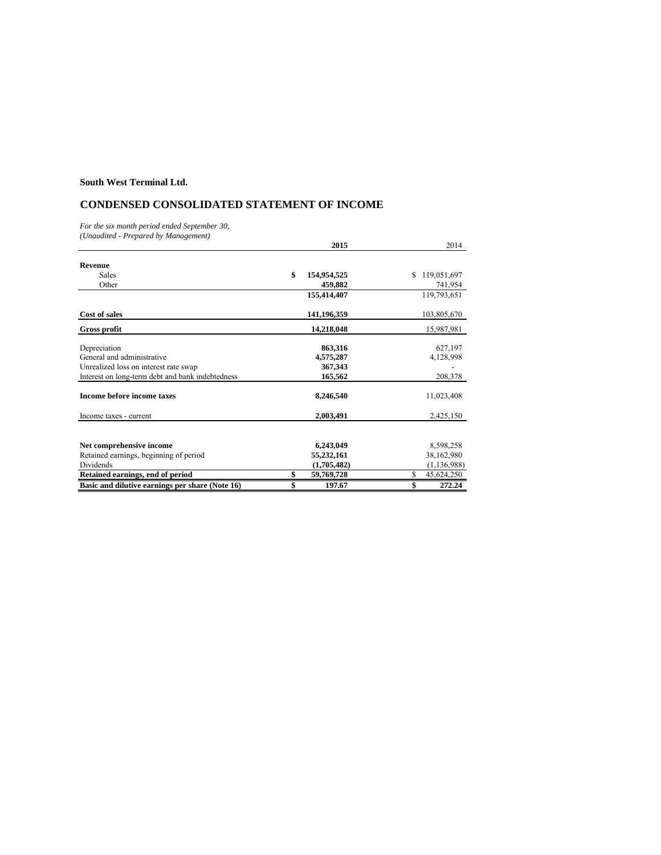## **CONDENSED CONSOLIDATED STATEMENT OF INCOME**

*For the six month period ended September 30,*

*(Unaudited - Prepared by Management)*

|                                                  | 2015              | 2014              |
|--------------------------------------------------|-------------------|-------------------|
|                                                  |                   |                   |
| Revenue                                          |                   |                   |
| <b>Sales</b>                                     | \$<br>154,954,525 | \$<br>119,051,697 |
| Other                                            | 459,882           | 741,954           |
|                                                  | 155,414,407       | 119,793,651       |
| Cost of sales                                    | 141, 196, 359     | 103,805,670       |
| Gross profit                                     | 14,218,048        | 15,987,981        |
|                                                  |                   |                   |
| Depreciation                                     | 863,316           | 627,197           |
| General and administrative                       | 4,575,287         | 4,128,998         |
| Unrealized loss on interest rate swap            | 367,343           |                   |
| Interest on long-term debt and bank indebtedness | 165,562           | 208,378           |
| Income before income taxes                       | 8,246,540         | 11,023,408        |
| Income taxes - current                           | 2,003,491         | 2,425,150         |
|                                                  |                   |                   |
| Net comprehensive income                         | 6,243,049         | 8,598,258         |
| Retained earnings, beginning of period           | 55,232,161        | 38,162,980        |
| <b>Dividends</b>                                 | (1,705,482)       | (1, 136, 988)     |
| Retained earnings, end of period                 | \$<br>59,769,728  | \$<br>45,624,250  |
| Basic and dilutive earnings per share (Note 16)  | \$<br>197.67      | \$<br>272.24      |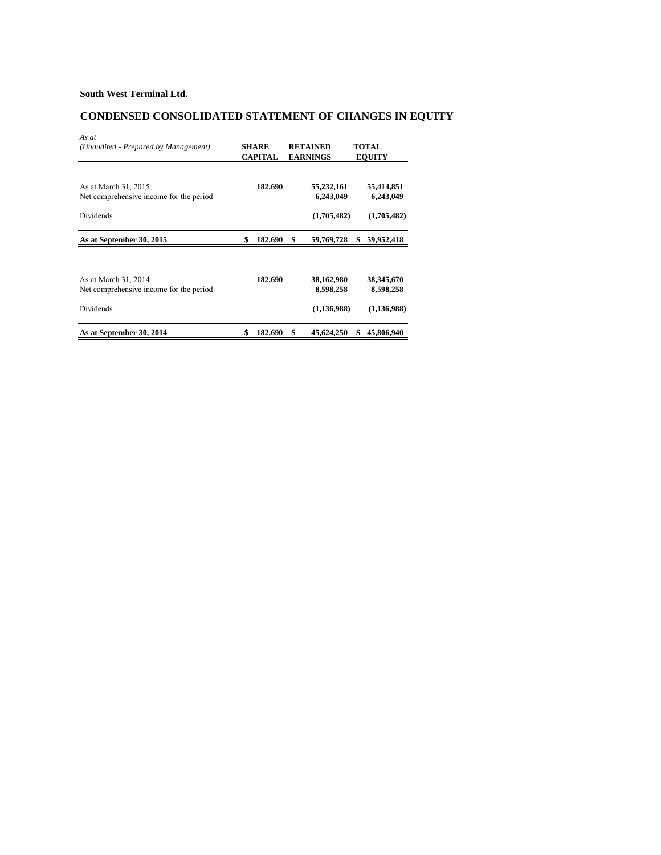# **CONDENSED CONSOLIDATED STATEMENT OF CHANGES IN EQUITY**

| As at                                   |                |                  |                  |
|-----------------------------------------|----------------|------------------|------------------|
| (Unaudited - Prepared by Management)    | <b>SHARE</b>   | <b>RETAINED</b>  | TOTAL            |
|                                         | <b>CAPITAL</b> | <b>EARNINGS</b>  | <b>EQUITY</b>    |
|                                         |                |                  |                  |
| As at March 31, 2015                    | 182,690        | 55,232,161       | 55,414,851       |
| Net comprehensive income for the period |                | 6,243,049        | 6,243,049        |
| Dividends                               |                | (1,705,482)      | (1,705,482)      |
| As at September 30, 2015                | \$<br>182,690  | \$<br>59,769,728 | \$<br>59,952,418 |
|                                         |                |                  |                  |
| As at March 31, 2014                    | 182,690        | 38,162,980       | 38,345,670       |
| Net comprehensive income for the period |                | 8,598,258        | 8,598,258        |
| Dividends                               |                | (1,136,988)      | (1, 136, 988)    |
| As at September 30, 2014                | \$<br>182,690  | \$<br>45,624,250 | \$<br>45,806,940 |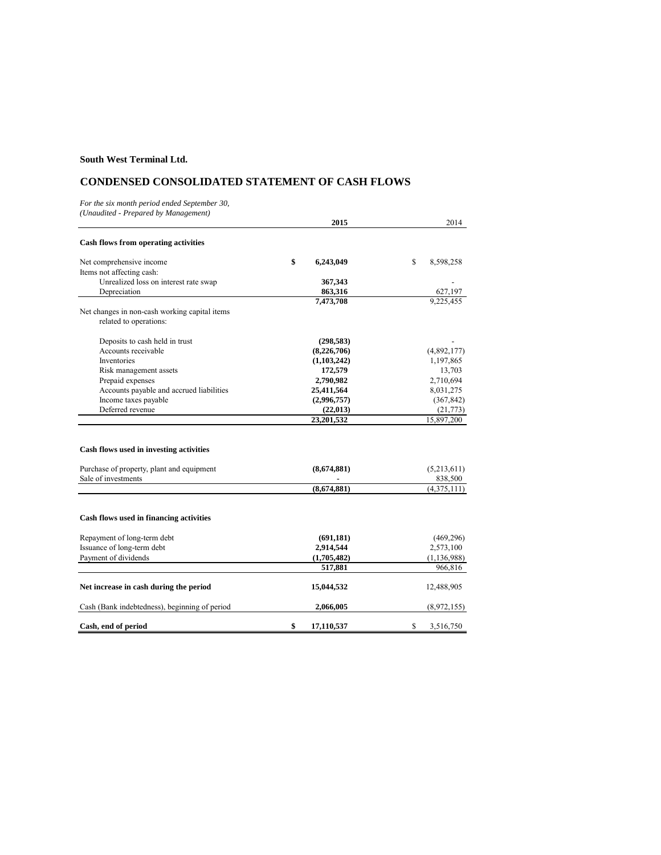## **CONDENSED CONSOLIDATED STATEMENT OF CASH FLOWS**

*For the six month period ended September 30, (Unaudited - Prepared by Management)*

|                                                                                                             | 2015             | 2014                   |
|-------------------------------------------------------------------------------------------------------------|------------------|------------------------|
| <b>Cash flows from operating activities</b>                                                                 |                  |                        |
| Net comprehensive income                                                                                    | \$<br>6,243,049  | \$<br>8,598,258        |
| Items not affecting cash:                                                                                   |                  |                        |
| Unrealized loss on interest rate swap                                                                       | 367,343          |                        |
| Depreciation                                                                                                | 863,316          | 627,197                |
|                                                                                                             | 7,473,708        | 9,225,455              |
| Net changes in non-cash working capital items<br>related to operations:                                     |                  |                        |
| Deposits to cash held in trust                                                                              | (298, 583)       |                        |
| Accounts receivable                                                                                         | (8,226,706)      | (4,892,177)            |
| Inventories                                                                                                 | (1,103,242)      | 1,197,865              |
| Risk management assets                                                                                      | 172,579          | 13,703                 |
| Prepaid expenses                                                                                            | 2,790,982        | 2,710,694              |
| Accounts payable and accrued liabilities                                                                    | 25,411,564       | 8,031,275              |
| Income taxes payable                                                                                        | (2,996,757)      | (367, 842)             |
| Deferred revenue                                                                                            | (22, 013)        | (21, 773)              |
|                                                                                                             | 23,201,532       | 15,897,200             |
| Cash flows used in investing activities<br>Purchase of property, plant and equipment<br>Sale of investments | (8,674,881)      | (5,213,611)<br>838,500 |
|                                                                                                             | (8,674,881)      | (4,375,111)            |
| Cash flows used in financing activities                                                                     |                  |                        |
| Repayment of long-term debt                                                                                 | (691, 181)       | (469, 296)             |
| Issuance of long-term debt                                                                                  | 2,914,544        | 2,573,100              |
| Payment of dividends                                                                                        | (1,705,482)      | (1, 136, 988)          |
|                                                                                                             | 517,881          | 966,816                |
| Net increase in cash during the period                                                                      | 15,044,532       | 12,488,905             |
| Cash (Bank indebtedness), beginning of period                                                               | 2,066,005        | (8,972,155)            |
| Cash, end of period                                                                                         | \$<br>17,110,537 | \$<br>3,516,750        |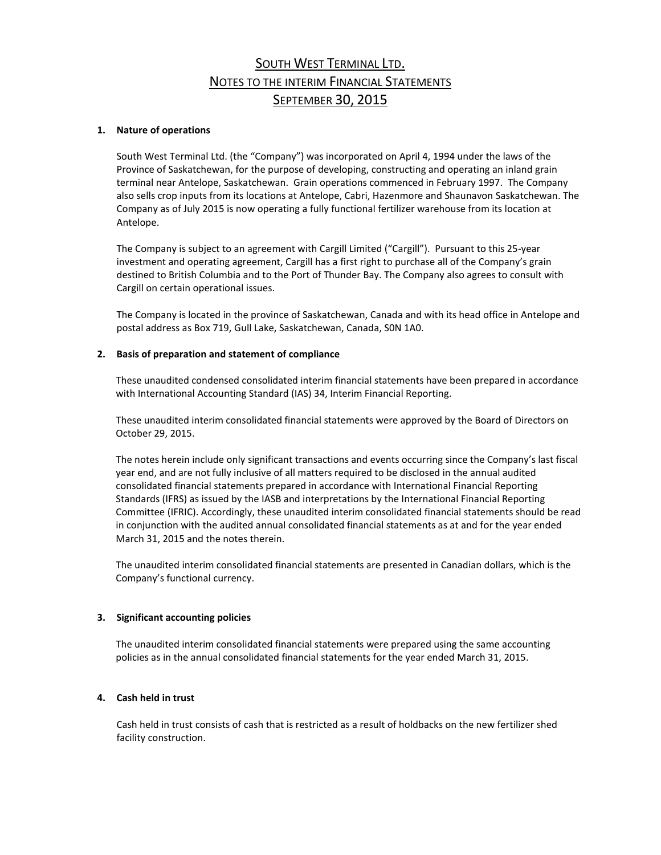# SOUTH WEST TERMINAL LTD. NOTES TO THE INTERIM FINANCIAL STATEMENTS SEPTEMBER 30, 2015

## **1. Nature of operations**

South West Terminal Ltd. (the "Company") was incorporated on April 4, 1994 under the laws of the Province of Saskatchewan, for the purpose of developing, constructing and operating an inland grain terminal near Antelope, Saskatchewan. Grain operations commenced in February 1997. The Company also sells crop inputs from its locations at Antelope, Cabri, Hazenmore and Shaunavon Saskatchewan. The Company as of July 2015 is now operating a fully functional fertilizer warehouse from its location at Antelope.

The Company is subject to an agreement with Cargill Limited ("Cargill"). Pursuant to this 25-year investment and operating agreement, Cargill has a first right to purchase all of the Company's grain destined to British Columbia and to the Port of Thunder Bay. The Company also agrees to consult with Cargill on certain operational issues.

The Company is located in the province of Saskatchewan, Canada and with its head office in Antelope and postal address as Box 719, Gull Lake, Saskatchewan, Canada, S0N 1A0.

### **2. Basis of preparation and statement of compliance**

These unaudited condensed consolidated interim financial statements have been prepared in accordance with International Accounting Standard (IAS) 34, Interim Financial Reporting.

These unaudited interim consolidated financial statements were approved by the Board of Directors on October 29, 2015.

The notes herein include only significant transactions and events occurring since the Company's last fiscal year end, and are not fully inclusive of all matters required to be disclosed in the annual audited consolidated financial statements prepared in accordance with International Financial Reporting Standards (IFRS) as issued by the IASB and interpretations by the International Financial Reporting Committee (IFRIC). Accordingly, these unaudited interim consolidated financial statements should be read in conjunction with the audited annual consolidated financial statements as at and for the year ended March 31, 2015 and the notes therein.

The unaudited interim consolidated financial statements are presented in Canadian dollars, which is the Company's functional currency.

### **3. Significant accounting policies**

The unaudited interim consolidated financial statements were prepared using the same accounting policies as in the annual consolidated financial statements for the year ended March 31, 2015.

### **4. Cash held in trust**

Cash held in trust consists of cash that is restricted as a result of holdbacks on the new fertilizer shed facility construction.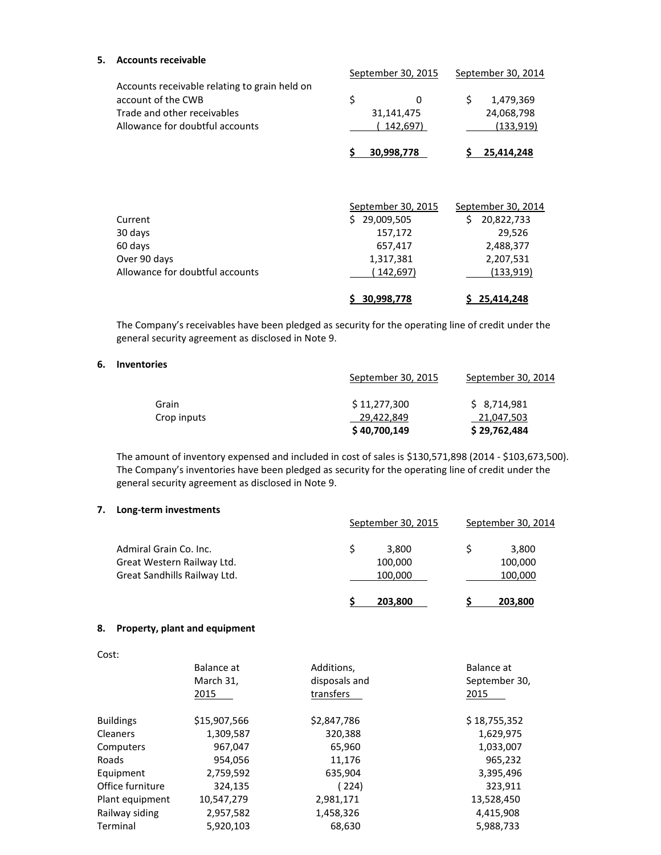## **5. Accounts receivable**

|                                                                                                                                       | September 30, 2015                       | September 30, 2014                          |
|---------------------------------------------------------------------------------------------------------------------------------------|------------------------------------------|---------------------------------------------|
| Accounts receivable relating to grain held on<br>account of the CWB<br>Trade and other receivables<br>Allowance for doubtful accounts | \$<br>$\Omega$<br>31,141,475<br>142,697) | \$<br>1,479,369<br>24,068,798<br>(133, 919) |
|                                                                                                                                       | 30,998,778                               | 25,414,248                                  |
|                                                                                                                                       |                                          |                                             |
|                                                                                                                                       | September 30, 2015                       | September 30, 2014                          |
| Current                                                                                                                               | \$29,009,505                             | Ś.<br>20,822,733                            |
| 30 days                                                                                                                               | 157,172                                  | 29,526                                      |
| 60 days                                                                                                                               | 657,417                                  | 2,488,377                                   |
| Over 90 days                                                                                                                          | 1,317,381                                | 2,207,531                                   |
| Allowance for doubtful accounts                                                                                                       | (142, 697)                               | (133, 919)                                  |
|                                                                                                                                       | 30,998,778                               | 25,414,248                                  |

The Company's receivables have been pledged as security for the operating line of credit under the general security agreement as disclosed in Note 9.

### **6. Inventories**

|             | September 30, 2015 | September 30, 2014 |
|-------------|--------------------|--------------------|
| Grain       | \$11,277,300       | \$8,714,981        |
| Crop inputs | 29,422,849         | 21,047,503         |
|             | \$40,700,149       | \$29,762,484       |

The amount of inventory expensed and included in cost of sales is \$130,571,898 (2014 - \$103,673,500). The Company's inventories have been pledged as security for the operating line of credit under the general security agreement as disclosed in Note 9.

## **7. Long-term investments**

|                              | September 30, 2015 | September 30, 2014 |  |
|------------------------------|--------------------|--------------------|--|
| Admiral Grain Co. Inc.       | 3.800              | 3,800              |  |
| Great Western Railway Ltd.   | 100,000            | 100,000            |  |
| Great Sandhills Railway Ltd. | 100,000            | 100,000            |  |
|                              | 203,800            | 203,800            |  |

## **8. Property, plant and equipment**

| v.<br>×<br>v<br>۰.<br>×<br>۰,<br>v<br>۰. |
|------------------------------------------|
|                                          |

|                  | Balance at<br>March 31,<br>2015 | Additions,<br>disposals and<br>transfers | Balance at<br>September 30,<br>2015 |
|------------------|---------------------------------|------------------------------------------|-------------------------------------|
| <b>Buildings</b> | \$15,907,566                    | \$2,847,786                              | \$18,755,352                        |
| <b>Cleaners</b>  | 1,309,587                       | 320,388                                  | 1,629,975                           |
| Computers        | 967,047                         | 65,960                                   | 1,033,007                           |
| Roads            | 954,056                         | 11,176                                   | 965,232                             |
| Equipment        | 2,759,592                       | 635,904                                  | 3,395,496                           |
| Office furniture | 324,135                         | (224)                                    | 323,911                             |
| Plant equipment  | 10,547,279                      | 2,981,171                                | 13,528,450                          |
| Railway siding   | 2,957,582                       | 1,458,326                                | 4,415,908                           |
| Terminal         | 5,920,103                       | 68,630                                   | 5,988,733                           |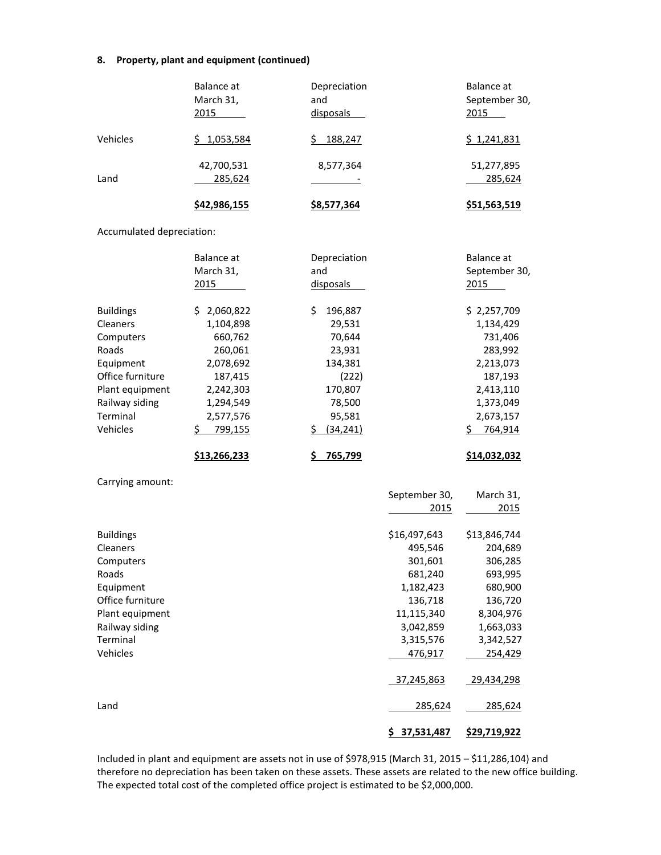## **8. Property, plant and equipment (continued)**

|                                                                                                                                                  | Balance at<br>March 31,<br>2015                                                                                                        | Depreciation<br>and<br>disposals                                                                                  |                                                                                                                                        | <b>Balance</b> at<br>September 30,<br>2015                                                                                          |
|--------------------------------------------------------------------------------------------------------------------------------------------------|----------------------------------------------------------------------------------------------------------------------------------------|-------------------------------------------------------------------------------------------------------------------|----------------------------------------------------------------------------------------------------------------------------------------|-------------------------------------------------------------------------------------------------------------------------------------|
| Vehicles                                                                                                                                         | \$1,053,584                                                                                                                            | \$188,247                                                                                                         |                                                                                                                                        | \$1,241,831                                                                                                                         |
| Land                                                                                                                                             | 42,700,531<br>285,624                                                                                                                  | 8,577,364                                                                                                         |                                                                                                                                        | 51,277,895<br>285,624                                                                                                               |
|                                                                                                                                                  | \$42,986,155                                                                                                                           | \$8,577,364                                                                                                       |                                                                                                                                        | \$51,563,519                                                                                                                        |
| Accumulated depreciation:                                                                                                                        |                                                                                                                                        |                                                                                                                   |                                                                                                                                        |                                                                                                                                     |
|                                                                                                                                                  | <b>Balance</b> at<br>March 31,<br>2015                                                                                                 | Depreciation<br>and<br>disposals                                                                                  |                                                                                                                                        | Balance at<br>September 30,<br>2015                                                                                                 |
| <b>Buildings</b><br>Cleaners<br>Computers<br>Roads<br>Equipment<br>Office furniture<br>Plant equipment<br>Railway siding<br>Terminal<br>Vehicles | \$2,060,822<br>1,104,898<br>660,762<br>260,061<br>2,078,692<br>187,415<br>2,242,303<br>1,294,549<br>2,577,576<br>$\frac{5}{2}$ 799,155 | 196,887<br>\$<br>29,531<br>70,644<br>23,931<br>134,381<br>(222)<br>170,807<br>78,500<br>95,581<br>(34, 241)<br>\$ |                                                                                                                                        | \$2,257,709<br>1,134,429<br>731,406<br>283,992<br>2,213,073<br>187,193<br>2,413,110<br>1,373,049<br>2,673,157<br>\$764,914          |
|                                                                                                                                                  | \$13,266,233                                                                                                                           | 765,799<br>\$                                                                                                     |                                                                                                                                        | \$14,032,032                                                                                                                        |
| Carrying amount:                                                                                                                                 |                                                                                                                                        |                                                                                                                   | September 30,                                                                                                                          | March 31,                                                                                                                           |
|                                                                                                                                                  |                                                                                                                                        |                                                                                                                   | 2015                                                                                                                                   | 2015                                                                                                                                |
| <b>Buildings</b><br>Cleaners<br>Computers<br>Roads<br>Equipment<br>Office furniture<br>Plant equipment<br>Railway siding<br>Terminal<br>Vehicles |                                                                                                                                        |                                                                                                                   | \$16,497,643<br>495,546<br>301,601<br>681,240<br>1,182,423<br>136,718<br>11,115,340<br>3,042,859<br>3,315,576<br>476,917<br>37,245,863 | \$13,846,744<br>204,689<br>306,285<br>693,995<br>680,900<br>136,720<br>8,304,976<br>1,663,033<br>3,342,527<br>254,429<br>29,434,298 |
| Land                                                                                                                                             |                                                                                                                                        |                                                                                                                   | 285,624                                                                                                                                | 285,624                                                                                                                             |
|                                                                                                                                                  |                                                                                                                                        |                                                                                                                   | \$37,531,487                                                                                                                           | \$29,719,922                                                                                                                        |

Included in plant and equipment are assets not in use of \$978,915 (March 31, 2015 – \$11,286,104) and therefore no depreciation has been taken on these assets. These assets are related to the new office building. The expected total cost of the completed office project is estimated to be \$2,000,000.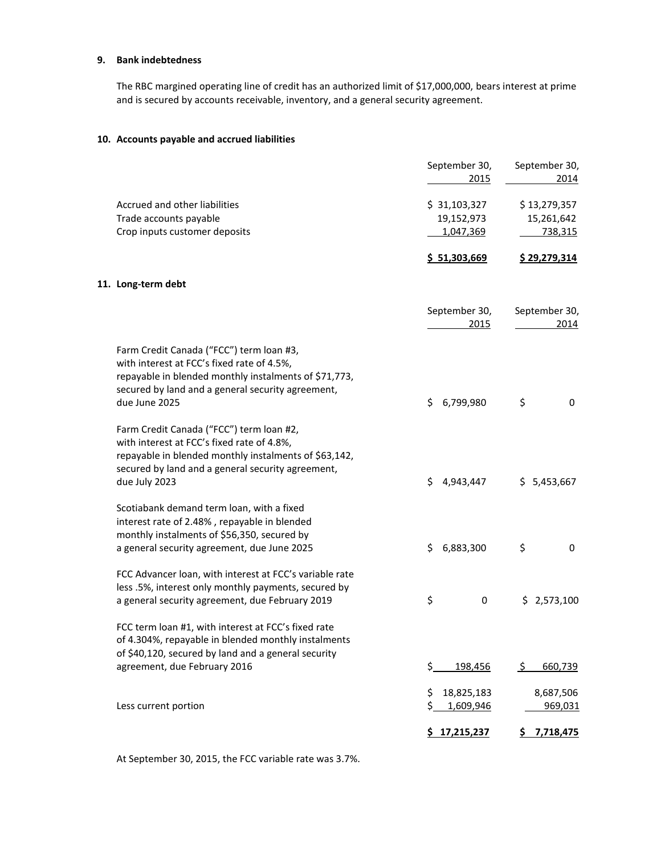## **9. Bank indebtedness**

The RBC margined operating line of credit has an authorized limit of \$17,000,000, bears interest at prime and is secured by accounts receivable, inventory, and a general security agreement.

## **10. Accounts payable and accrued liabilities**

|                    |                                                         |     | September 30,<br>2015 | September 30,<br>2014 |
|--------------------|---------------------------------------------------------|-----|-----------------------|-----------------------|
|                    | Accrued and other liabilities                           |     | \$31,103,327          | \$13,279,357          |
|                    | Trade accounts payable                                  |     | 19,152,973            | 15,261,642            |
|                    | Crop inputs customer deposits                           |     | 1,047,369             | 738,315               |
|                    |                                                         |     |                       |                       |
|                    |                                                         |     | \$ 51,303,669         | \$29,279,314          |
| 11. Long-term debt |                                                         |     |                       |                       |
|                    |                                                         |     | September 30,<br>2015 | September 30,<br>2014 |
|                    | Farm Credit Canada ("FCC") term loan #3,                |     |                       |                       |
|                    | with interest at FCC's fixed rate of 4.5%,              |     |                       |                       |
|                    | repayable in blended monthly instalments of \$71,773,   |     |                       |                       |
|                    | secured by land and a general security agreement,       |     |                       |                       |
| due June 2025      |                                                         | \$  | 6,799,980             | \$<br>0               |
|                    |                                                         |     |                       |                       |
|                    | Farm Credit Canada ("FCC") term loan #2,                |     |                       |                       |
|                    | with interest at FCC's fixed rate of 4.8%,              |     |                       |                       |
|                    | repayable in blended monthly instalments of \$63,142,   |     |                       |                       |
|                    | secured by land and a general security agreement,       |     |                       |                       |
| due July 2023      |                                                         | \$  | 4,943,447             | \$5,453,667           |
|                    | Scotiabank demand term loan, with a fixed               |     |                       |                       |
|                    | interest rate of 2.48%, repayable in blended            |     |                       |                       |
|                    | monthly instalments of \$56,350, secured by             |     |                       |                       |
|                    | a general security agreement, due June 2025             | \$  | 6,883,300             | \$<br>0               |
|                    |                                                         |     |                       |                       |
|                    | FCC Advancer loan, with interest at FCC's variable rate |     |                       |                       |
|                    | less .5%, interest only monthly payments, secured by    |     |                       |                       |
|                    | a general security agreement, due February 2019         | \$  | 0                     | \$2,573,100           |
|                    | FCC term loan #1, with interest at FCC's fixed rate     |     |                       |                       |
|                    | of 4.304%, repayable in blended monthly instalments     |     |                       |                       |
|                    | of \$40,120, secured by land and a general security     |     |                       |                       |
|                    | agreement, due February 2016                            | \$_ | 198,456               | \$<br>660,739         |
|                    |                                                         |     |                       |                       |
|                    |                                                         | \$  | 18,825,183            | 8,687,506             |
|                    | Less current portion                                    | \$. | 1,609,946             | 969,031               |
|                    |                                                         |     | \$17,215,237          | \$7,718,475           |

At September 30, 2015, the FCC variable rate was 3.7%.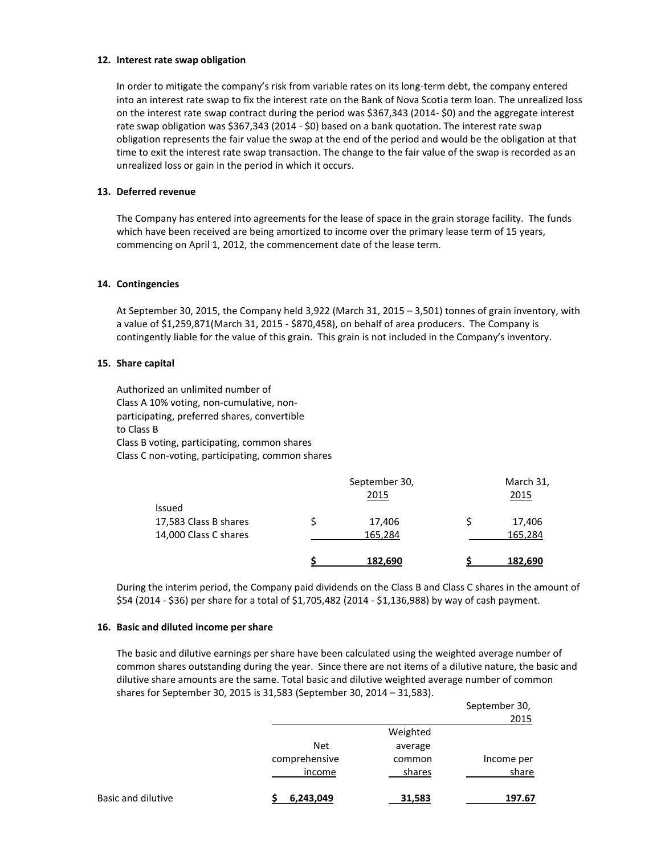### **12. Interest rate swap obligation**

In order to mitigate the company's risk from variable rates on its long-term debt, the company entered into an interest rate swap to fix the interest rate on the Bank of Nova Scotia term loan. The unrealized loss on the interest rate swap contract during the period was \$367,343 (2014- \$0) and the aggregate interest rate swap obligation was \$367,343 (2014 - \$0) based on a bank quotation. The interest rate swap obligation represents the fair value the swap at the end of the period and would be the obligation at that time to exit the interest rate swap transaction. The change to the fair value of the swap is recorded as an unrealized loss or gain in the period in which it occurs.

### **13. Deferred revenue**

The Company has entered into agreements for the lease of space in the grain storage facility. The funds which have been received are being amortized to income over the primary lease term of 15 years, commencing on April 1, 2012, the commencement date of the lease term.

### **14. Contingencies**

At September 30, 2015, the Company held 3,922 (March 31, 2015 – 3,501) tonnes of grain inventory, with a value of \$1,259,871(March 31, 2015 - \$870,458), on behalf of area producers. The Company is contingently liable for the value of this grain. This grain is not included in the Company's inventory.

### **15. Share capital**

Authorized an unlimited number of Class A 10% voting, non-cumulative, nonparticipating, preferred shares, convertible to Class B Class B voting, participating, common shares Class C non-voting, participating, common shares

|                                                          | September 30,<br>2015 |  | March 31,<br><u>2015</u> |
|----------------------------------------------------------|-----------------------|--|--------------------------|
| Issued<br>17,583 Class B shares<br>14,000 Class C shares | 17,406<br>165,284     |  | 17,406<br>165,284        |
|                                                          | 182,690               |  | 182,690                  |

During the interim period, the Company paid dividends on the Class B and Class C shares in the amount of \$54 (2014 - \$36) per share for a total of \$1,705,482 (2014 - \$1,136,988) by way of cash payment.

#### **16. Basic and diluted income per share**

The basic and dilutive earnings per share have been calculated using the weighted average number of common shares outstanding during the year. Since there are not items of a dilutive nature, the basic and dilutive share amounts are the same. Total basic and dilutive weighted average number of common shares for September 30, 2015 is 31,583 (September 30, 2014 – 31,583).

|                    |               |          | September 30,<br>2015 |
|--------------------|---------------|----------|-----------------------|
|                    |               | Weighted |                       |
|                    | <b>Net</b>    | average  |                       |
|                    | comprehensive | common   | Income per            |
|                    | income        | shares   | share                 |
| Basic and dilutive | 6,243,049     | 31,583   | 197.67                |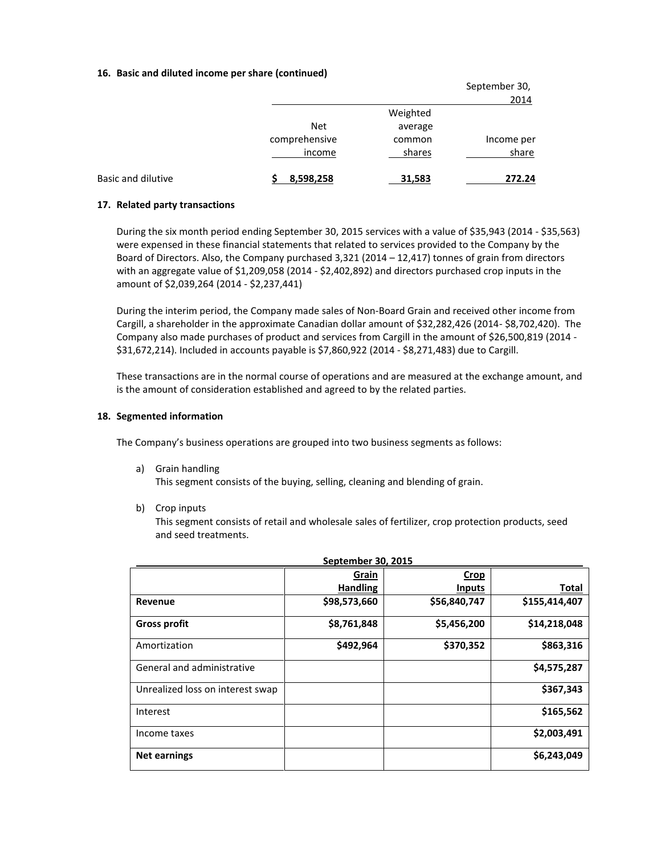### **16. Basic and diluted income per share (continued)**

|                           |               |          | September 30,<br>2014 |
|---------------------------|---------------|----------|-----------------------|
|                           |               | Weighted |                       |
|                           | <b>Net</b>    | average  |                       |
|                           | comprehensive | common   | Income per            |
|                           | income        | shares   | share                 |
| <b>Basic and dilutive</b> | 8,598,258     | 31,583   | 272.24                |

### **17. Related party transactions**

During the six month period ending September 30, 2015 services with a value of \$35,943 (2014 - \$35,563) were expensed in these financial statements that related to services provided to the Company by the Board of Directors. Also, the Company purchased 3,321 (2014 – 12,417) tonnes of grain from directors with an aggregate value of \$1,209,058 (2014 - \$2,402,892) and directors purchased crop inputs in the amount of \$2,039,264 (2014 - \$2,237,441)

During the interim period, the Company made sales of Non-Board Grain and received other income from Cargill, a shareholder in the approximate Canadian dollar amount of \$32,282,426 (2014- \$8,702,420). The Company also made purchases of product and services from Cargill in the amount of \$26,500,819 (2014 - \$31,672,214). Included in accounts payable is \$7,860,922 (2014 - \$8,271,483) due to Cargill.

These transactions are in the normal course of operations and are measured at the exchange amount, and is the amount of consideration established and agreed to by the related parties.

### **18. Segmented information**

The Company's business operations are grouped into two business segments as follows:

a) Grain handling

This segment consists of the buying, selling, cleaning and blending of grain.

b) Crop inputs

This segment consists of retail and wholesale sales of fertilizer, crop protection products, seed and seed treatments.

| September 30, 2015               |                 |               |               |
|----------------------------------|-----------------|---------------|---------------|
|                                  | Grain           | <b>Crop</b>   |               |
|                                  | <b>Handling</b> | <b>Inputs</b> | Total         |
| Revenue                          | \$98,573,660    | \$56,840,747  | \$155,414,407 |
| <b>Gross profit</b>              | \$8,761,848     | \$5,456,200   | \$14,218,048  |
| Amortization                     | \$492,964       | \$370,352     | \$863,316     |
| General and administrative       |                 |               | \$4,575,287   |
| Unrealized loss on interest swap |                 |               | \$367,343     |
| Interest                         |                 |               | \$165,562     |
| Income taxes                     |                 |               | \$2,003,491   |
| <b>Net earnings</b>              |                 |               | \$6,243,049   |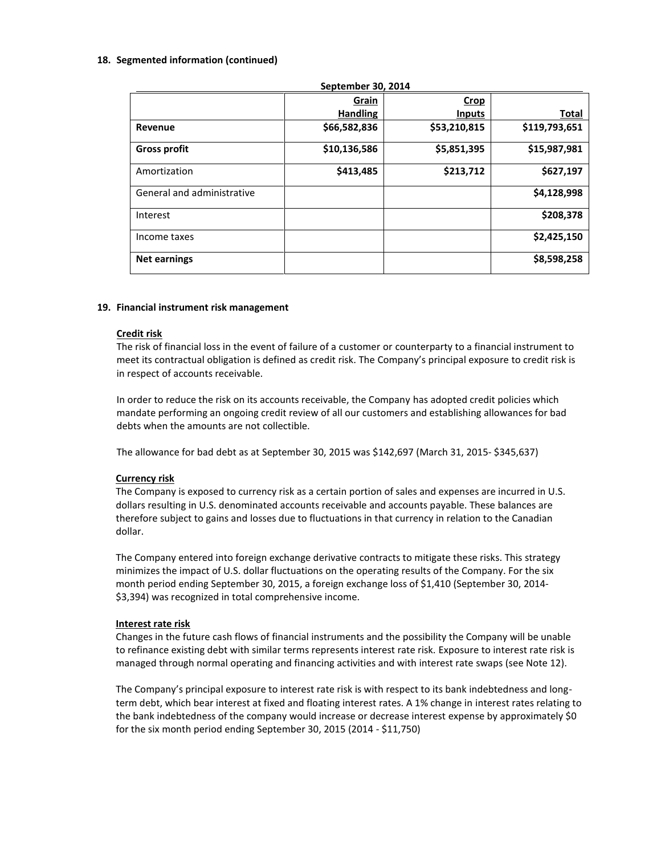### **18. Segmented information (continued)**

| September 30, 2014         |                 |               |               |
|----------------------------|-----------------|---------------|---------------|
|                            | Grain           | <b>Crop</b>   |               |
|                            | <b>Handling</b> | <b>Inputs</b> | Total         |
| Revenue                    | \$66,582,836    | \$53,210,815  | \$119,793,651 |
| <b>Gross profit</b>        | \$10,136,586    | \$5,851,395   | \$15,987,981  |
| Amortization               | \$413,485       | \$213,712     | \$627,197     |
| General and administrative |                 |               | \$4,128,998   |
| Interest                   |                 |               | \$208,378     |
| Income taxes               |                 |               | \$2,425,150   |
| <b>Net earnings</b>        |                 |               | \$8,598,258   |

## **19. Financial instrument risk management**

## **Credit risk**

The risk of financial loss in the event of failure of a customer or counterparty to a financial instrument to meet its contractual obligation is defined as credit risk. The Company's principal exposure to credit risk is in respect of accounts receivable.

In order to reduce the risk on its accounts receivable, the Company has adopted credit policies which mandate performing an ongoing credit review of all our customers and establishing allowances for bad debts when the amounts are not collectible.

The allowance for bad debt as at September 30, 2015 was \$142,697 (March 31, 2015- \$345,637)

## **Currency risk**

The Company is exposed to currency risk as a certain portion of sales and expenses are incurred in U.S. dollars resulting in U.S. denominated accounts receivable and accounts payable. These balances are therefore subject to gains and losses due to fluctuations in that currency in relation to the Canadian dollar.

The Company entered into foreign exchange derivative contracts to mitigate these risks. This strategy minimizes the impact of U.S. dollar fluctuations on the operating results of the Company. For the six month period ending September 30, 2015, a foreign exchange loss of \$1,410 (September 30, 2014- \$3,394) was recognized in total comprehensive income.

## **Interest rate risk**

Changes in the future cash flows of financial instruments and the possibility the Company will be unable to refinance existing debt with similar terms represents interest rate risk. Exposure to interest rate risk is managed through normal operating and financing activities and with interest rate swaps (see Note 12).

The Company's principal exposure to interest rate risk is with respect to its bank indebtedness and longterm debt, which bear interest at fixed and floating interest rates. A 1% change in interest rates relating to the bank indebtedness of the company would increase or decrease interest expense by approximately \$0 for the six month period ending September 30, 2015 (2014 - \$11,750)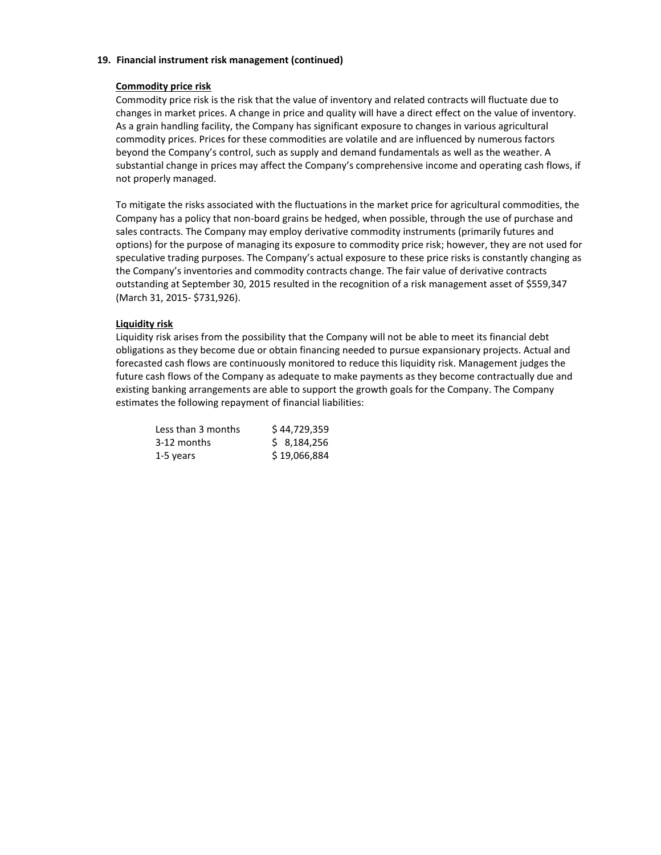### **19. Financial instrument risk management (continued)**

## **Commodity price risk**

Commodity price risk is the risk that the value of inventory and related contracts will fluctuate due to changes in market prices. A change in price and quality will have a direct effect on the value of inventory. As a grain handling facility, the Company has significant exposure to changes in various agricultural commodity prices. Prices for these commodities are volatile and are influenced by numerous factors beyond the Company's control, such as supply and demand fundamentals as well as the weather. A substantial change in prices may affect the Company's comprehensive income and operating cash flows, if not properly managed.

To mitigate the risks associated with the fluctuations in the market price for agricultural commodities, the Company has a policy that non-board grains be hedged, when possible, through the use of purchase and sales contracts. The Company may employ derivative commodity instruments (primarily futures and options) for the purpose of managing its exposure to commodity price risk; however, they are not used for speculative trading purposes. The Company's actual exposure to these price risks is constantly changing as the Company's inventories and commodity contracts change. The fair value of derivative contracts outstanding at September 30, 2015 resulted in the recognition of a risk management asset of \$559,347 (March 31, 2015- \$731,926).

## **Liquidity risk**

Liquidity risk arises from the possibility that the Company will not be able to meet its financial debt obligations as they become due or obtain financing needed to pursue expansionary projects. Actual and forecasted cash flows are continuously monitored to reduce this liquidity risk. Management judges the future cash flows of the Company as adequate to make payments as they become contractually due and existing banking arrangements are able to support the growth goals for the Company. The Company estimates the following repayment of financial liabilities:

| Less than 3 months | \$44,729,359 |
|--------------------|--------------|
| 3-12 months        | \$8,184,256  |
| 1-5 years          | \$19,066,884 |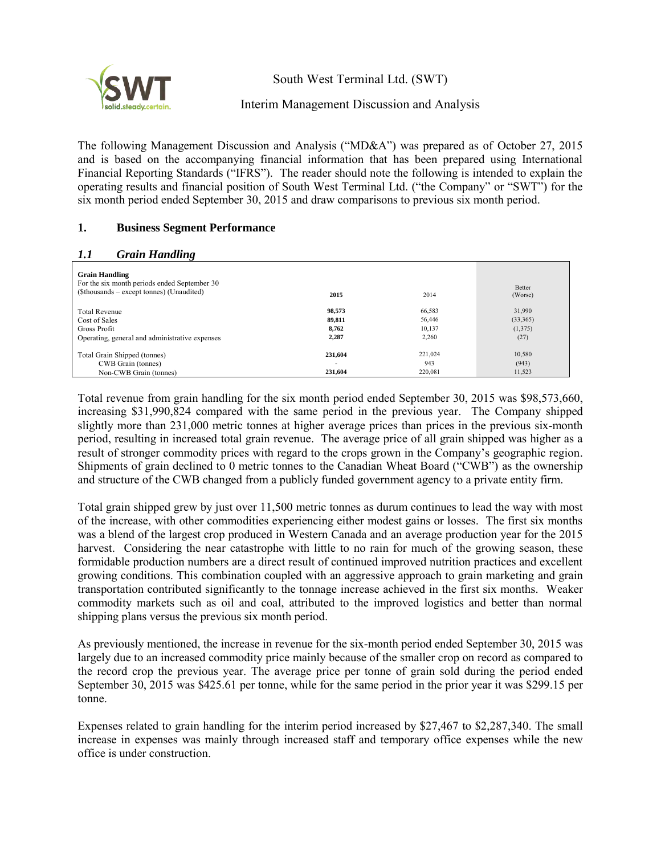

South West Terminal Ltd. (SWT)

# Interim Management Discussion and Analysis

The following Management Discussion and Analysis ("MD&A") was prepared as of October 27, 2015 and is based on the accompanying financial information that has been prepared using International Financial Reporting Standards ("IFRS"). The reader should note the following is intended to explain the operating results and financial position of South West Terminal Ltd. ("the Company" or "SWT") for the six month period ended September 30, 2015 and draw comparisons to previous six month period.

# **1. Business Segment Performance**

## *1.1 Grain Handling*

| -0                                                                                                                 |                                     |                |                   |
|--------------------------------------------------------------------------------------------------------------------|-------------------------------------|----------------|-------------------|
| <b>Grain Handling</b><br>For the six month periods ended September 30<br>(\$thousands – except tonnes) (Unaudited) | 2015                                | 2014           | Better<br>(Worse) |
| <b>Total Revenue</b>                                                                                               | 98.573                              | 66,583         | 31,990            |
| Cost of Sales                                                                                                      | 89,811                              | 56,446         | (33,365)          |
| Gross Profit                                                                                                       | 8,762                               | 10,137         | (1,375)           |
| Operating, general and administrative expenses                                                                     | 2,287                               | 2,260          | (27)              |
| Total Grain Shipped (tonnes)<br>CWB Grain (tonnes)                                                                 | 231.604<br>$\overline{\phantom{a}}$ | 221,024<br>943 | 10,580<br>(943)   |
| Non-CWB Grain (tonnes)                                                                                             | 231.604                             | 220,081        | 11,523            |

Total revenue from grain handling for the six month period ended September 30, 2015 was \$98,573,660, increasing \$31,990,824 compared with the same period in the previous year. The Company shipped slightly more than 231,000 metric tonnes at higher average prices than prices in the previous six-month period, resulting in increased total grain revenue. The average price of all grain shipped was higher as a result of stronger commodity prices with regard to the crops grown in the Company's geographic region. Shipments of grain declined to 0 metric tonnes to the Canadian Wheat Board ("CWB") as the ownership and structure of the CWB changed from a publicly funded government agency to a private entity firm.

Total grain shipped grew by just over 11,500 metric tonnes as durum continues to lead the way with most of the increase, with other commodities experiencing either modest gains or losses. The first six months was a blend of the largest crop produced in Western Canada and an average production year for the 2015 harvest. Considering the near catastrophe with little to no rain for much of the growing season, these formidable production numbers are a direct result of continued improved nutrition practices and excellent growing conditions. This combination coupled with an aggressive approach to grain marketing and grain transportation contributed significantly to the tonnage increase achieved in the first six months. Weaker commodity markets such as oil and coal, attributed to the improved logistics and better than normal shipping plans versus the previous six month period.

As previously mentioned, the increase in revenue for the six-month period ended September 30, 2015 was largely due to an increased commodity price mainly because of the smaller crop on record as compared to the record crop the previous year. The average price per tonne of grain sold during the period ended September 30, 2015 was \$425.61 per tonne, while for the same period in the prior year it was \$299.15 per tonne.

Expenses related to grain handling for the interim period increased by \$27,467 to \$2,287,340. The small increase in expenses was mainly through increased staff and temporary office expenses while the new office is under construction.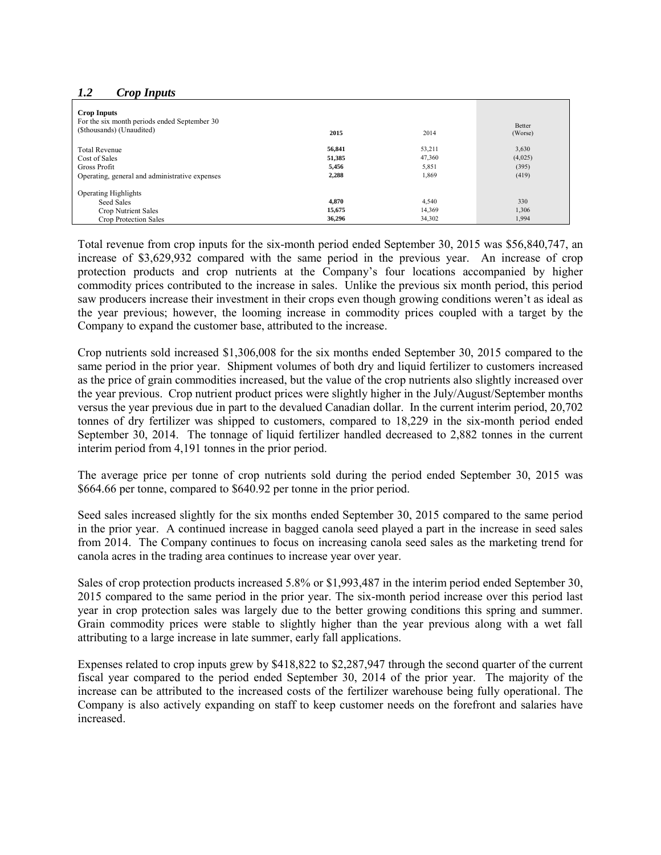## *1.2 Crop Inputs*

| <b>Crop Inputs</b><br>For the six month periods ended September 30<br>(\$thousands) (Unaudited) | 2015   | 2014   | Better<br>(Worse) |
|-------------------------------------------------------------------------------------------------|--------|--------|-------------------|
| <b>Total Revenue</b>                                                                            | 56,841 | 53,211 | 3,630             |
| Cost of Sales                                                                                   | 51,385 | 47,360 | (4,025)           |
| Gross Profit                                                                                    | 5,456  | 5,851  | (395)             |
| Operating, general and administrative expenses                                                  | 2,288  | 1,869  | (419)             |
| <b>Operating Highlights</b>                                                                     |        |        |                   |
| Seed Sales                                                                                      | 4.870  | 4,540  | 330               |
| Crop Nutrient Sales                                                                             | 15.675 | 14,369 | 1,306             |
| Crop Protection Sales                                                                           | 36.296 | 34,302 | 1,994             |

Total revenue from crop inputs for the six-month period ended September 30, 2015 was \$56,840,747, an increase of \$3,629,932 compared with the same period in the previous year. An increase of crop protection products and crop nutrients at the Company's four locations accompanied by higher commodity prices contributed to the increase in sales. Unlike the previous six month period, this period saw producers increase their investment in their crops even though growing conditions weren't as ideal as the year previous; however, the looming increase in commodity prices coupled with a target by the Company to expand the customer base, attributed to the increase.

Crop nutrients sold increased \$1,306,008 for the six months ended September 30, 2015 compared to the same period in the prior year. Shipment volumes of both dry and liquid fertilizer to customers increased as the price of grain commodities increased, but the value of the crop nutrients also slightly increased over the year previous. Crop nutrient product prices were slightly higher in the July/August/September months versus the year previous due in part to the devalued Canadian dollar. In the current interim period, 20,702 tonnes of dry fertilizer was shipped to customers, compared to 18,229 in the six-month period ended September 30, 2014. The tonnage of liquid fertilizer handled decreased to 2,882 tonnes in the current interim period from 4,191 tonnes in the prior period.

The average price per tonne of crop nutrients sold during the period ended September 30, 2015 was \$664.66 per tonne, compared to \$640.92 per tonne in the prior period.

Seed sales increased slightly for the six months ended September 30, 2015 compared to the same period in the prior year. A continued increase in bagged canola seed played a part in the increase in seed sales from 2014. The Company continues to focus on increasing canola seed sales as the marketing trend for canola acres in the trading area continues to increase year over year.

Sales of crop protection products increased 5.8% or \$1,993,487 in the interim period ended September 30, 2015 compared to the same period in the prior year. The six-month period increase over this period last year in crop protection sales was largely due to the better growing conditions this spring and summer. Grain commodity prices were stable to slightly higher than the year previous along with a wet fall attributing to a large increase in late summer, early fall applications.

Expenses related to crop inputs grew by \$418,822 to \$2,287,947 through the second quarter of the current fiscal year compared to the period ended September 30, 2014 of the prior year. The majority of the increase can be attributed to the increased costs of the fertilizer warehouse being fully operational. The Company is also actively expanding on staff to keep customer needs on the forefront and salaries have increased.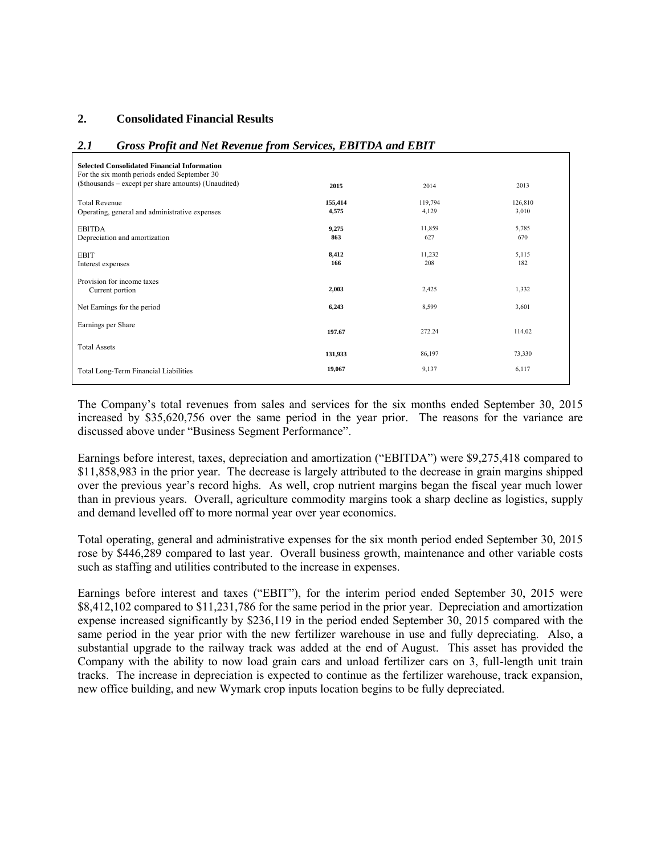## **2. Consolidated Financial Results**

## *2.1 Gross Profit and Net Revenue from Services, EBITDA and EBIT*

| <b>Selected Consolidated Financial Information</b><br>For the six month periods ended September 30<br>(\$thousands – except per share amounts) (Unaudited) | 2015             | 2014             | 2013             |
|------------------------------------------------------------------------------------------------------------------------------------------------------------|------------------|------------------|------------------|
| <b>Total Revenue</b><br>Operating, general and administrative expenses                                                                                     | 155,414<br>4,575 | 119,794<br>4,129 | 126,810<br>3,010 |
| <b>EBITDA</b><br>Depreciation and amortization                                                                                                             | 9,275<br>863     | 11,859<br>627    | 5,785<br>670     |
| <b>EBIT</b><br>Interest expenses                                                                                                                           | 8,412<br>166     | 11,232<br>208    | 5,115<br>182     |
| Provision for income taxes<br>Current portion                                                                                                              | 2,003            | 2,425            | 1,332            |
| Net Earnings for the period                                                                                                                                | 6,243            | 8,599            | 3,601            |
| Earnings per Share                                                                                                                                         | 197.67           | 272.24           | 114.02           |
| <b>Total Assets</b>                                                                                                                                        | 131,933          | 86,197           | 73,330           |
| Total Long-Term Financial Liabilities                                                                                                                      | 19,067           | 9,137            | 6,117            |

The Company's total revenues from sales and services for the six months ended September 30, 2015 increased by \$35,620,756 over the same period in the year prior. The reasons for the variance are discussed above under "Business Segment Performance".

Earnings before interest, taxes, depreciation and amortization ("EBITDA") were \$9,275,418 compared to \$11,858,983 in the prior year. The decrease is largely attributed to the decrease in grain margins shipped over the previous year's record highs. As well, crop nutrient margins began the fiscal year much lower than in previous years. Overall, agriculture commodity margins took a sharp decline as logistics, supply and demand levelled off to more normal year over year economics.

Total operating, general and administrative expenses for the six month period ended September 30, 2015 rose by \$446,289 compared to last year. Overall business growth, maintenance and other variable costs such as staffing and utilities contributed to the increase in expenses.

Earnings before interest and taxes ("EBIT"), for the interim period ended September 30, 2015 were \$8,412,102 compared to \$11,231,786 for the same period in the prior year. Depreciation and amortization expense increased significantly by \$236,119 in the period ended September 30, 2015 compared with the same period in the year prior with the new fertilizer warehouse in use and fully depreciating. Also, a substantial upgrade to the railway track was added at the end of August. This asset has provided the Company with the ability to now load grain cars and unload fertilizer cars on 3, full-length unit train tracks. The increase in depreciation is expected to continue as the fertilizer warehouse, track expansion, new office building, and new Wymark crop inputs location begins to be fully depreciated.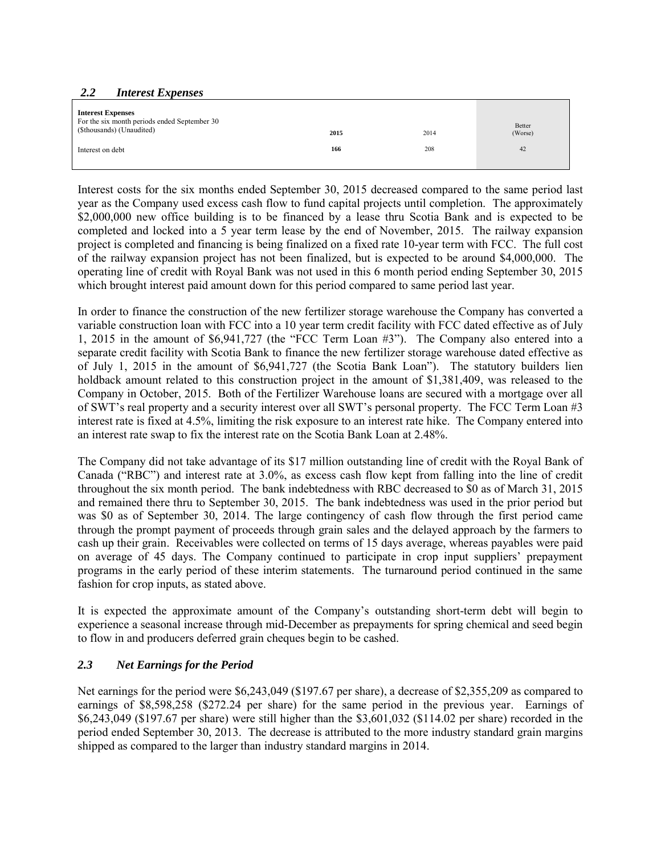## *2.2 Interest Expenses*

| <b>Interest Expenses</b><br>For the six month periods ended September 30 |      |      | Better  |
|--------------------------------------------------------------------------|------|------|---------|
| (\$thousands) (Unaudited)                                                | 2015 | 2014 | (Worse) |
| Interest on debt                                                         | 166  | 208  | 42      |
|                                                                          |      |      |         |

Interest costs for the six months ended September 30, 2015 decreased compared to the same period last year as the Company used excess cash flow to fund capital projects until completion. The approximately \$2,000,000 new office building is to be financed by a lease thru Scotia Bank and is expected to be completed and locked into a 5 year term lease by the end of November, 2015. The railway expansion project is completed and financing is being finalized on a fixed rate 10-year term with FCC. The full cost of the railway expansion project has not been finalized, but is expected to be around \$4,000,000. The operating line of credit with Royal Bank was not used in this 6 month period ending September 30, 2015 which brought interest paid amount down for this period compared to same period last year.

In order to finance the construction of the new fertilizer storage warehouse the Company has converted a variable construction loan with FCC into a 10 year term credit facility with FCC dated effective as of July 1, 2015 in the amount of \$6,941,727 (the "FCC Term Loan #3"). The Company also entered into a separate credit facility with Scotia Bank to finance the new fertilizer storage warehouse dated effective as of July 1, 2015 in the amount of \$6,941,727 (the Scotia Bank Loan"). The statutory builders lien holdback amount related to this construction project in the amount of \$1,381,409, was released to the Company in October, 2015. Both of the Fertilizer Warehouse loans are secured with a mortgage over all of SWT's real property and a security interest over all SWT's personal property. The FCC Term Loan #3 interest rate is fixed at 4.5%, limiting the risk exposure to an interest rate hike. The Company entered into an interest rate swap to fix the interest rate on the Scotia Bank Loan at 2.48%.

The Company did not take advantage of its \$17 million outstanding line of credit with the Royal Bank of Canada ("RBC") and interest rate at 3.0%, as excess cash flow kept from falling into the line of credit throughout the six month period. The bank indebtedness with RBC decreased to \$0 as of March 31, 2015 and remained there thru to September 30, 2015. The bank indebtedness was used in the prior period but was \$0 as of September 30, 2014. The large contingency of cash flow through the first period came through the prompt payment of proceeds through grain sales and the delayed approach by the farmers to cash up their grain. Receivables were collected on terms of 15 days average, whereas payables were paid on average of 45 days. The Company continued to participate in crop input suppliers' prepayment programs in the early period of these interim statements. The turnaround period continued in the same fashion for crop inputs, as stated above.

It is expected the approximate amount of the Company's outstanding short-term debt will begin to experience a seasonal increase through mid-December as prepayments for spring chemical and seed begin to flow in and producers deferred grain cheques begin to be cashed.

# *2.3 Net Earnings for the Period*

Net earnings for the period were \$6,243,049 (\$197.67 per share), a decrease of \$2,355,209 as compared to earnings of \$8,598,258 (\$272.24 per share) for the same period in the previous year. Earnings of \$6,243,049 (\$197.67 per share) were still higher than the \$3,601,032 (\$114.02 per share) recorded in the period ended September 30, 2013. The decrease is attributed to the more industry standard grain margins shipped as compared to the larger than industry standard margins in 2014.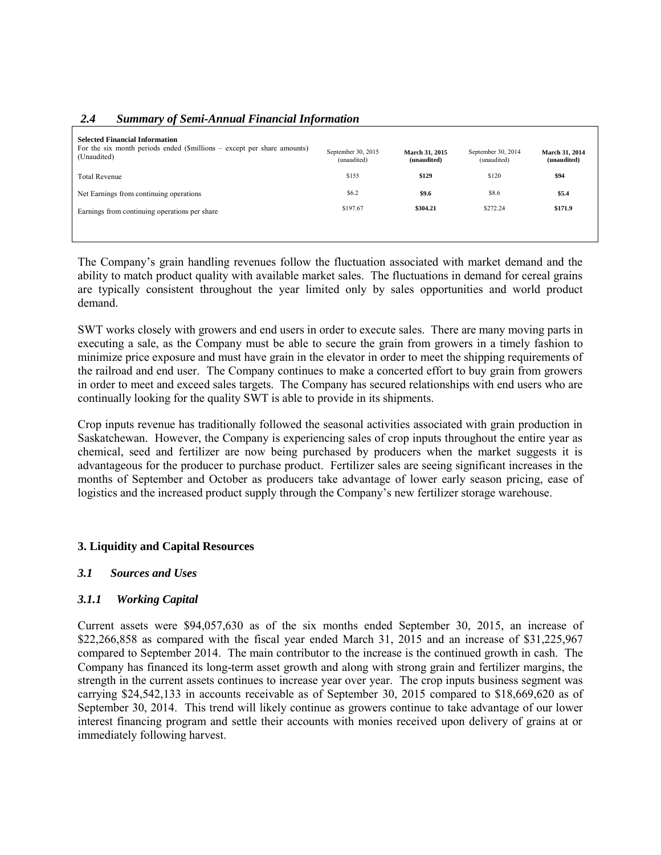# *2.4 Summary of Semi-Annual Financial Information*

| <b>Selected Financial Information</b><br>For the six month periods ended (\$millions $-$ except per share amounts)<br>(Unaudited) | September 30, 2015<br>(unaudited) | March 31, 2015<br>(unaudited) | September 30, 2014<br>(unaudited) | March 31, 2014<br>(unaudited) |
|-----------------------------------------------------------------------------------------------------------------------------------|-----------------------------------|-------------------------------|-----------------------------------|-------------------------------|
| <b>Total Revenue</b>                                                                                                              | \$155                             | \$129                         | \$120                             | \$94                          |
| Net Earnings from continuing operations                                                                                           | \$6.2                             | \$9.6                         | \$8.6                             | \$5.4                         |
| Earnings from continuing operations per share                                                                                     | \$197.67                          | \$304.21                      | \$272.24                          | \$171.9                       |
|                                                                                                                                   |                                   |                               |                                   |                               |

The Company's grain handling revenues follow the fluctuation associated with market demand and the ability to match product quality with available market sales. The fluctuations in demand for cereal grains are typically consistent throughout the year limited only by sales opportunities and world product demand.

SWT works closely with growers and end users in order to execute sales. There are many moving parts in executing a sale, as the Company must be able to secure the grain from growers in a timely fashion to minimize price exposure and must have grain in the elevator in order to meet the shipping requirements of the railroad and end user. The Company continues to make a concerted effort to buy grain from growers in order to meet and exceed sales targets. The Company has secured relationships with end users who are continually looking for the quality SWT is able to provide in its shipments.

Crop inputs revenue has traditionally followed the seasonal activities associated with grain production in Saskatchewan. However, the Company is experiencing sales of crop inputs throughout the entire year as chemical, seed and fertilizer are now being purchased by producers when the market suggests it is advantageous for the producer to purchase product. Fertilizer sales are seeing significant increases in the months of September and October as producers take advantage of lower early season pricing, ease of logistics and the increased product supply through the Company's new fertilizer storage warehouse.

## **3. Liquidity and Capital Resources**

## *3.1 Sources and Uses*

## *3.1.1 Working Capital*

Current assets were \$94,057,630 as of the six months ended September 30, 2015, an increase of \$22,266,858 as compared with the fiscal year ended March 31, 2015 and an increase of \$31,225,967 compared to September 2014. The main contributor to the increase is the continued growth in cash. The Company has financed its long-term asset growth and along with strong grain and fertilizer margins, the strength in the current assets continues to increase year over year. The crop inputs business segment was carrying \$24,542,133 in accounts receivable as of September 30, 2015 compared to \$18,669,620 as of September 30, 2014. This trend will likely continue as growers continue to take advantage of our lower interest financing program and settle their accounts with monies received upon delivery of grains at or immediately following harvest.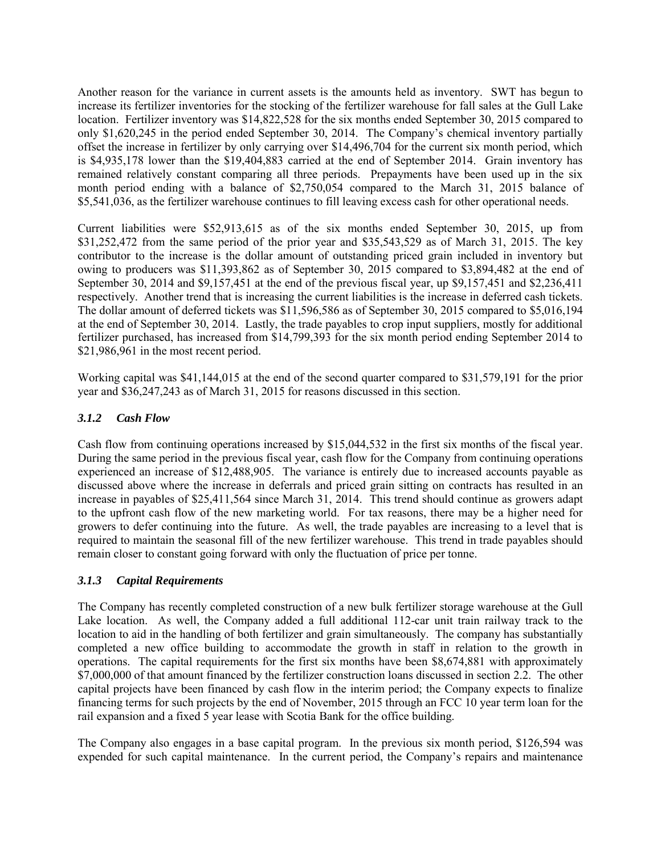Another reason for the variance in current assets is the amounts held as inventory. SWT has begun to increase its fertilizer inventories for the stocking of the fertilizer warehouse for fall sales at the Gull Lake location. Fertilizer inventory was \$14,822,528 for the six months ended September 30, 2015 compared to only \$1,620,245 in the period ended September 30, 2014. The Company's chemical inventory partially offset the increase in fertilizer by only carrying over \$14,496,704 for the current six month period, which is \$4,935,178 lower than the \$19,404,883 carried at the end of September 2014. Grain inventory has remained relatively constant comparing all three periods. Prepayments have been used up in the six month period ending with a balance of \$2,750,054 compared to the March 31, 2015 balance of \$5,541,036, as the fertilizer warehouse continues to fill leaving excess cash for other operational needs.

Current liabilities were \$52,913,615 as of the six months ended September 30, 2015, up from \$31,252,472 from the same period of the prior year and \$35,543,529 as of March 31, 2015. The key contributor to the increase is the dollar amount of outstanding priced grain included in inventory but owing to producers was \$11,393,862 as of September 30, 2015 compared to \$3,894,482 at the end of September 30, 2014 and \$9,157,451 at the end of the previous fiscal year, up \$9,157,451 and \$2,236,411 respectively. Another trend that is increasing the current liabilities is the increase in deferred cash tickets. The dollar amount of deferred tickets was \$11,596,586 as of September 30, 2015 compared to \$5,016,194 at the end of September 30, 2014. Lastly, the trade payables to crop input suppliers, mostly for additional fertilizer purchased, has increased from \$14,799,393 for the six month period ending September 2014 to \$21,986,961 in the most recent period.

Working capital was \$41,144,015 at the end of the second quarter compared to \$31,579,191 for the prior year and \$36,247,243 as of March 31, 2015 for reasons discussed in this section.

# *3.1.2 Cash Flow*

Cash flow from continuing operations increased by \$15,044,532 in the first six months of the fiscal year. During the same period in the previous fiscal year, cash flow for the Company from continuing operations experienced an increase of \$12,488,905. The variance is entirely due to increased accounts payable as discussed above where the increase in deferrals and priced grain sitting on contracts has resulted in an increase in payables of \$25,411,564 since March 31, 2014. This trend should continue as growers adapt to the upfront cash flow of the new marketing world. For tax reasons, there may be a higher need for growers to defer continuing into the future. As well, the trade payables are increasing to a level that is required to maintain the seasonal fill of the new fertilizer warehouse. This trend in trade payables should remain closer to constant going forward with only the fluctuation of price per tonne.

## *3.1.3 Capital Requirements*

The Company has recently completed construction of a new bulk fertilizer storage warehouse at the Gull Lake location. As well, the Company added a full additional 112-car unit train railway track to the location to aid in the handling of both fertilizer and grain simultaneously. The company has substantially completed a new office building to accommodate the growth in staff in relation to the growth in operations. The capital requirements for the first six months have been \$8,674,881 with approximately \$7,000,000 of that amount financed by the fertilizer construction loans discussed in section 2.2. The other capital projects have been financed by cash flow in the interim period; the Company expects to finalize financing terms for such projects by the end of November, 2015 through an FCC 10 year term loan for the rail expansion and a fixed 5 year lease with Scotia Bank for the office building.

The Company also engages in a base capital program. In the previous six month period, \$126,594 was expended for such capital maintenance. In the current period, the Company's repairs and maintenance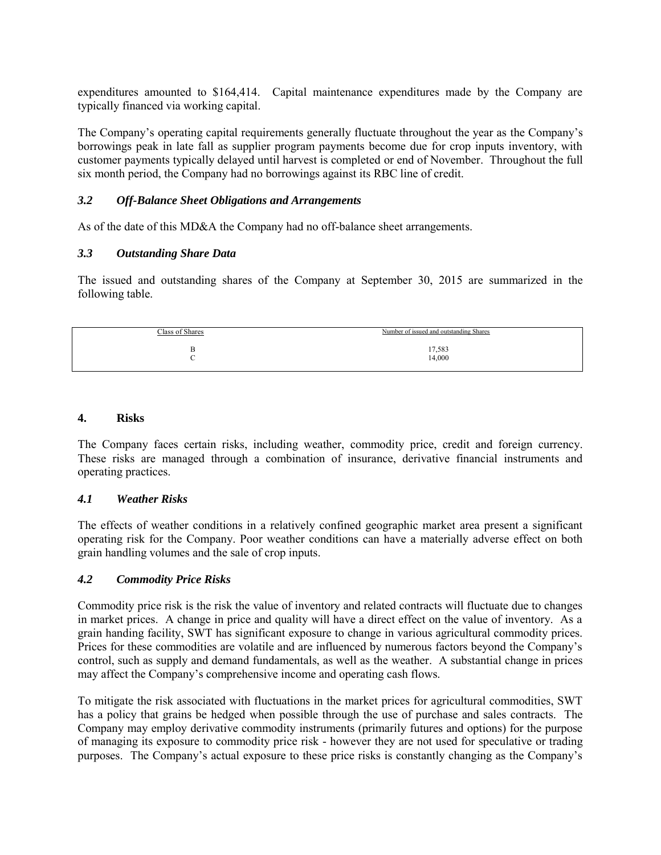expenditures amounted to \$164,414. Capital maintenance expenditures made by the Company are typically financed via working capital.

The Company's operating capital requirements generally fluctuate throughout the year as the Company's borrowings peak in late fall as supplier program payments become due for crop inputs inventory, with customer payments typically delayed until harvest is completed or end of November. Throughout the full six month period, the Company had no borrowings against its RBC line of credit.

# *3.2 Off-Balance Sheet Obligations and Arrangements*

As of the date of this MD&A the Company had no off-balance sheet arrangements.

# *3.3 Outstanding Share Data*

The issued and outstanding shares of the Company at September 30, 2015 are summarized in the following table.

| Number of issued and outstanding Shares |
|-----------------------------------------|
| 17,583<br>14,000                        |
|                                         |

## **4. Risks**

The Company faces certain risks, including weather, commodity price, credit and foreign currency. These risks are managed through a combination of insurance, derivative financial instruments and operating practices.

# *4.1 Weather Risks*

The effects of weather conditions in a relatively confined geographic market area present a significant operating risk for the Company. Poor weather conditions can have a materially adverse effect on both grain handling volumes and the sale of crop inputs.

## *4.2 Commodity Price Risks*

Commodity price risk is the risk the value of inventory and related contracts will fluctuate due to changes in market prices. A change in price and quality will have a direct effect on the value of inventory. As a grain handing facility, SWT has significant exposure to change in various agricultural commodity prices. Prices for these commodities are volatile and are influenced by numerous factors beyond the Company's control, such as supply and demand fundamentals, as well as the weather. A substantial change in prices may affect the Company's comprehensive income and operating cash flows.

To mitigate the risk associated with fluctuations in the market prices for agricultural commodities, SWT has a policy that grains be hedged when possible through the use of purchase and sales contracts. The Company may employ derivative commodity instruments (primarily futures and options) for the purpose of managing its exposure to commodity price risk - however they are not used for speculative or trading purposes. The Company's actual exposure to these price risks is constantly changing as the Company's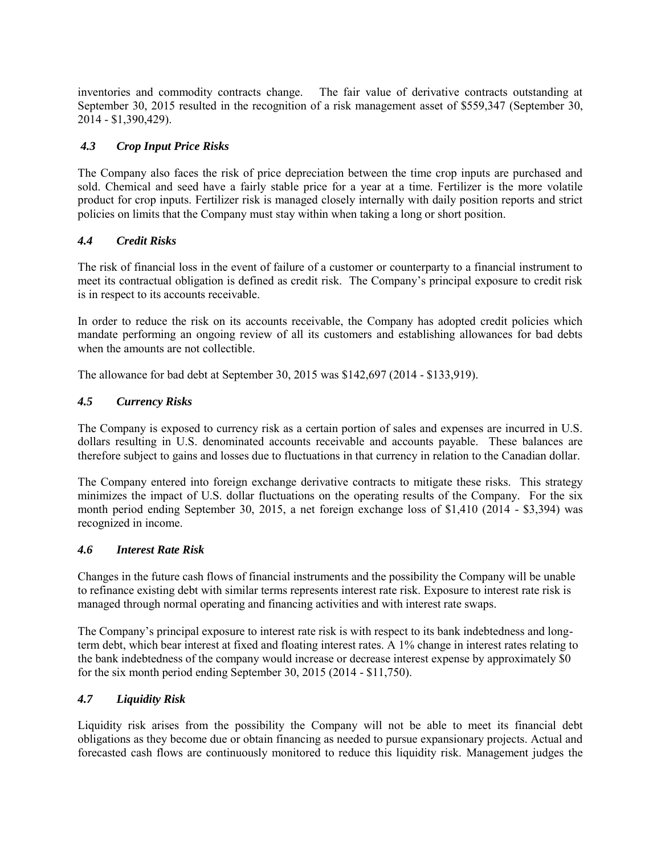inventories and commodity contracts change. The fair value of derivative contracts outstanding at September 30, 2015 resulted in the recognition of a risk management asset of \$559,347 (September 30, 2014 - \$1,390,429).

# *4.3 Crop Input Price Risks*

The Company also faces the risk of price depreciation between the time crop inputs are purchased and sold. Chemical and seed have a fairly stable price for a year at a time. Fertilizer is the more volatile product for crop inputs. Fertilizer risk is managed closely internally with daily position reports and strict policies on limits that the Company must stay within when taking a long or short position.

# *4.4 Credit Risks*

The risk of financial loss in the event of failure of a customer or counterparty to a financial instrument to meet its contractual obligation is defined as credit risk. The Company's principal exposure to credit risk is in respect to its accounts receivable.

In order to reduce the risk on its accounts receivable, the Company has adopted credit policies which mandate performing an ongoing review of all its customers and establishing allowances for bad debts when the amounts are not collectible.

The allowance for bad debt at September 30, 2015 was \$142,697 (2014 - \$133,919).

# *4.5 Currency Risks*

The Company is exposed to currency risk as a certain portion of sales and expenses are incurred in U.S. dollars resulting in U.S. denominated accounts receivable and accounts payable. These balances are therefore subject to gains and losses due to fluctuations in that currency in relation to the Canadian dollar.

The Company entered into foreign exchange derivative contracts to mitigate these risks. This strategy minimizes the impact of U.S. dollar fluctuations on the operating results of the Company. For the six month period ending September 30, 2015, a net foreign exchange loss of \$1,410 (2014 - \$3,394) was recognized in income.

## *4.6 Interest Rate Risk*

Changes in the future cash flows of financial instruments and the possibility the Company will be unable to refinance existing debt with similar terms represents interest rate risk. Exposure to interest rate risk is managed through normal operating and financing activities and with interest rate swaps.

The Company's principal exposure to interest rate risk is with respect to its bank indebtedness and longterm debt, which bear interest at fixed and floating interest rates. A 1% change in interest rates relating to the bank indebtedness of the company would increase or decrease interest expense by approximately \$0 for the six month period ending September 30, 2015 (2014 - \$11,750).

## *4.7 Liquidity Risk*

Liquidity risk arises from the possibility the Company will not be able to meet its financial debt obligations as they become due or obtain financing as needed to pursue expansionary projects. Actual and forecasted cash flows are continuously monitored to reduce this liquidity risk. Management judges the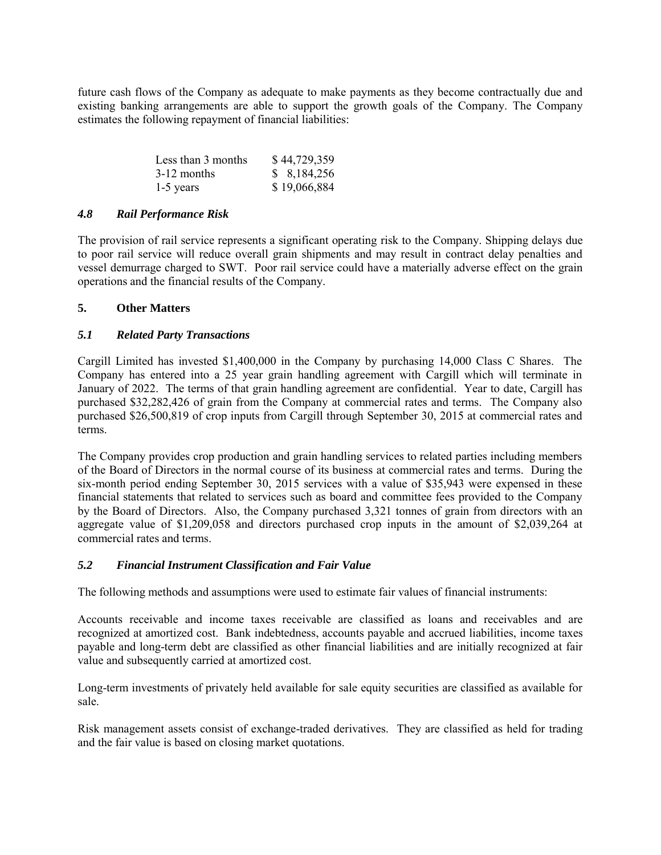future cash flows of the Company as adequate to make payments as they become contractually due and existing banking arrangements are able to support the growth goals of the Company. The Company estimates the following repayment of financial liabilities:

| Less than 3 months | \$44,729,359 |
|--------------------|--------------|
| $3-12$ months      | \$8,184,256  |
| $1-5$ years        | \$19,066,884 |

## *4.8 Rail Performance Risk*

The provision of rail service represents a significant operating risk to the Company. Shipping delays due to poor rail service will reduce overall grain shipments and may result in contract delay penalties and vessel demurrage charged to SWT. Poor rail service could have a materially adverse effect on the grain operations and the financial results of the Company.

## **5. Other Matters**

# *5.1 Related Party Transactions*

Cargill Limited has invested \$1,400,000 in the Company by purchasing 14,000 Class C Shares. The Company has entered into a 25 year grain handling agreement with Cargill which will terminate in January of 2022. The terms of that grain handling agreement are confidential. Year to date, Cargill has purchased \$32,282,426 of grain from the Company at commercial rates and terms. The Company also purchased \$26,500,819 of crop inputs from Cargill through September 30, 2015 at commercial rates and terms.

The Company provides crop production and grain handling services to related parties including members of the Board of Directors in the normal course of its business at commercial rates and terms. During the six-month period ending September 30, 2015 services with a value of \$35,943 were expensed in these financial statements that related to services such as board and committee fees provided to the Company by the Board of Directors. Also, the Company purchased 3,321 tonnes of grain from directors with an aggregate value of \$1,209,058 and directors purchased crop inputs in the amount of \$2,039,264 at commercial rates and terms.

## *5.2 Financial Instrument Classification and Fair Value*

The following methods and assumptions were used to estimate fair values of financial instruments:

Accounts receivable and income taxes receivable are classified as loans and receivables and are recognized at amortized cost. Bank indebtedness, accounts payable and accrued liabilities, income taxes payable and long-term debt are classified as other financial liabilities and are initially recognized at fair value and subsequently carried at amortized cost.

Long-term investments of privately held available for sale equity securities are classified as available for sale.

Risk management assets consist of exchange-traded derivatives. They are classified as held for trading and the fair value is based on closing market quotations.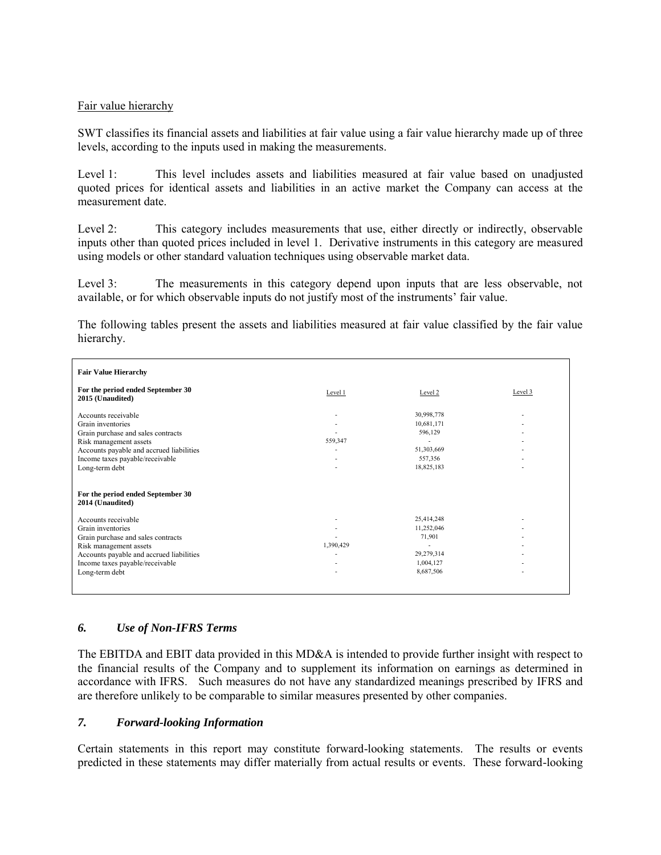## Fair value hierarchy

SWT classifies its financial assets and liabilities at fair value using a fair value hierarchy made up of three levels, according to the inputs used in making the measurements.

Level 1: This level includes assets and liabilities measured at fair value based on unadjusted quoted prices for identical assets and liabilities in an active market the Company can access at the measurement date.

Level 2: This category includes measurements that use, either directly or indirectly, observable inputs other than quoted prices included in level 1. Derivative instruments in this category are measured using models or other standard valuation techniques using observable market data.

Level 3: The measurements in this category depend upon inputs that are less observable, not available, or for which observable inputs do not justify most of the instruments' fair value.

The following tables present the assets and liabilities measured at fair value classified by the fair value hierarchy.

| <b>Fair Value Hierarchy</b>                                                                                                                                                                               |           |                                                   |         |
|-----------------------------------------------------------------------------------------------------------------------------------------------------------------------------------------------------------|-----------|---------------------------------------------------|---------|
| For the period ended September 30<br>2015 (Unaudited)                                                                                                                                                     | Level 1   | Level 2                                           | Level 3 |
| Accounts receivable<br>Grain inventories<br>Grain purchase and sales contracts<br>Risk management assets<br>Accounts payable and accrued liabilities<br>Income taxes payable/receivable<br>Long-term debt | 559,347   | 30,998,778<br>10,681,171<br>596,129<br>51,303,669 |         |
|                                                                                                                                                                                                           |           | 557,356<br>18,825,183                             |         |
| For the period ended September 30<br>2014 (Unaudited)                                                                                                                                                     |           |                                                   |         |
| Accounts receivable                                                                                                                                                                                       |           | 25,414,248                                        |         |
| Grain inventories                                                                                                                                                                                         |           | 11,252,046                                        |         |
| Grain purchase and sales contracts                                                                                                                                                                        |           | 71,901                                            |         |
| Risk management assets                                                                                                                                                                                    | 1,390,429 |                                                   |         |
| Accounts payable and accrued liabilities                                                                                                                                                                  |           | 29,279,314                                        |         |
| Income taxes payable/receivable<br>Long-term debt                                                                                                                                                         |           | 1,004,127<br>8,687,506                            |         |

## *6. Use of Non-IFRS Terms*

The EBITDA and EBIT data provided in this MD&A is intended to provide further insight with respect to the financial results of the Company and to supplement its information on earnings as determined in accordance with IFRS. Such measures do not have any standardized meanings prescribed by IFRS and are therefore unlikely to be comparable to similar measures presented by other companies.

## *7. Forward-looking Information*

Certain statements in this report may constitute forward-looking statements. The results or events predicted in these statements may differ materially from actual results or events. These forward-looking